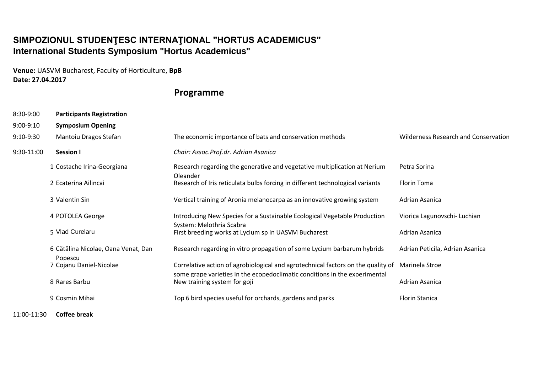## **SIMPOZIONUL STUDENŢESC INTERNAŢIONAL "HORTUS ACADEMICUS" International Students Symposium "Hortus Academicus"**

**Venue:** UASVM Bucharest, Faculty of Horticulture, **BpB Date: 27.04.2017**

## **Programme**

| 8:30-9:00   | <b>Participants Registration</b>               |                                                                                                                                                                |                                             |
|-------------|------------------------------------------------|----------------------------------------------------------------------------------------------------------------------------------------------------------------|---------------------------------------------|
| 9:00-9:10   | <b>Symposium Opening</b>                       |                                                                                                                                                                |                                             |
| $9:10-9:30$ | Mantoiu Dragos Stefan                          | The economic importance of bats and conservation methods                                                                                                       | <b>Wilderness Research and Conservation</b> |
| 9:30-11:00  | Session I                                      | Chair: Assoc.Prof.dr. Adrian Asanica                                                                                                                           |                                             |
|             | 1 Costache Irina-Georgiana                     | Research regarding the generative and vegetative multiplication at Nerium<br>Oleander                                                                          | Petra Sorina                                |
|             | 2 Ecaterina Ailincai                           | Research of Iris reticulata bulbs forcing in different technological variants                                                                                  | <b>Florin Toma</b>                          |
|             | 3 Valentin Sin                                 | Vertical training of Aronia melanocarpa as an innovative growing system                                                                                        | Adrian Asanica                              |
|             | 4 POTOLEA George                               | Introducing New Species for a Sustainable Ecological Vegetable Production<br>System: Melothria Scabra                                                          | Viorica Lagunovschi- Luchian                |
|             | 5 Vlad Curelaru                                | First breeding works at Lycium sp in UASVM Bucharest                                                                                                           | Adrian Asanica                              |
|             | 6 Cătălina Nicolae, Oana Venat, Dan<br>Popescu | Research regarding in vitro propagation of some Lycium barbarum hybrids                                                                                        | Adrian Peticila, Adrian Asanica             |
|             | 7 Cojanu Daniel-Nicolae                        | Correlative action of agrobiological and agrotechnical factors on the quality of<br>some grape varieties in the ecopedoclimatic conditions in the experimental | Marinela Stroe                              |
|             | 8 Rares Barbu                                  | New training system for goji                                                                                                                                   | Adrian Asanica                              |
|             | 9 Cosmin Mihai                                 | Top 6 bird species useful for orchards, gardens and parks                                                                                                      | <b>Florin Stanica</b>                       |
| 11:00-11:30 | Coffee break                                   |                                                                                                                                                                |                                             |